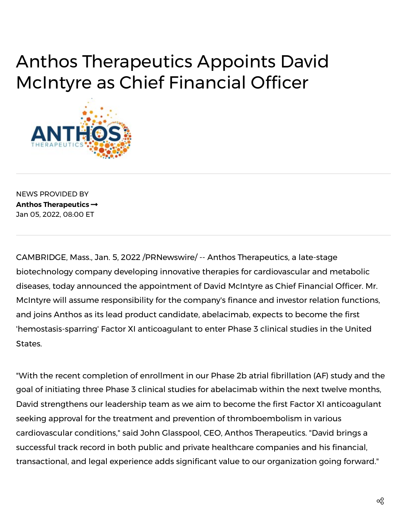## Anthos Therapeutics Appoints David McIntyre as Chief Financial Officer



NEWS PROVIDED BY **[Anthos Therapeutics](https://www.prnewswire.com/news/anthos-therapeutics/)**  Jan 05, 2022, 08:00 ET

CAMBRIDGE, Mass., Jan. 5, 2022 /PRNewswire/ -- Anthos Therapeutics, a late-stage biotechnology company developing innovative therapies for cardiovascular and metabolic diseases, today announced the appointment of David McIntyre as Chief Financial Officer. Mr. McIntyre will assume responsibility for the company's finance and investor relation functions, and joins Anthos as its lead product candidate, abelacimab, expects to become the first 'hemostasis-sparring' Factor XI anticoagulant to enter Phase 3 clinical studies in the United States.

"With the recent completion of enrollment in our Phase 2b atrial fibrillation (AF) study and the goal of initiating three Phase 3 clinical studies for abelacimab within the next twelve months, David strengthens our leadership team as we aim to become the first Factor XI anticoagulant seeking approval for the treatment and prevention of thromboembolism in various cardiovascular conditions," said John Glasspool, CEO, Anthos Therapeutics. "David brings a successful track record in both public and private healthcare companies and his financial, transactional, and legal experience adds significant value to our organization going forward."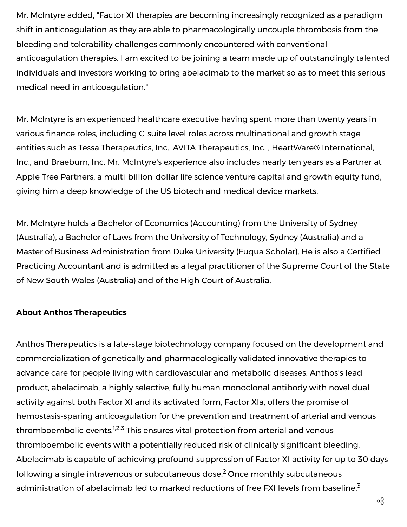Mr. McIntyre added, "Factor XI therapies are becoming increasingly recognized as a paradigm shift in anticoagulation as they are able to pharmacologically uncouple thrombosis from the bleeding and tolerability challenges commonly encountered with conventional anticoagulation therapies. I am excited to be joining a team made up of outstandingly talented individuals and investors working to bring abelacimab to the market so as to meet this serious medical need in anticoagulation."

Mr. McIntyre is an experienced healthcare executive having spent more than twenty years in various finance roles, including C-suite level roles across multinational and growth stage entities such as Tessa Therapeutics, Inc., AVITA Therapeutics, Inc. , HeartWare® International, Inc., and Braeburn, Inc. Mr. McIntyre's experience also includes nearly ten years as a Partner at Apple Tree Partners, a multi-billion-dollar life science venture capital and growth equity fund, giving him a deep knowledge of the US biotech and medical device markets.

Mr. McIntyre holds a Bachelor of Economics (Accounting) from the University of Sydney (Australia), a Bachelor of Laws from the University of Technology, Sydney (Australia) and a Master of Business Administration from Duke University (Fuqua Scholar). He is also a Certified Practicing Accountant and is admitted as a legal practitioner of the Supreme Court of the State of New South Wales (Australia) and of the High Court of Australia.

## **About Anthos Therapeutics**

Anthos Therapeutics is a late-stage biotechnology company focused on the development and commercialization of genetically and pharmacologically validated innovative therapies to advance care for people living with cardiovascular and metabolic diseases. Anthos's lead product, abelacimab, a highly selective, fully human monoclonal antibody with novel dual activity against both Factor XI and its activated form, Factor XIa, offers the promise of hemostasis-sparing anticoagulation for the prevention and treatment of arterial and venous thromboembolic events.<sup>1,2,3</sup> This ensures vital protection from arterial and venous thromboembolic events with a potentially reduced risk of clinically significant bleeding. Abelacimab is capable of achieving profound suppression of Factor XI activity for up to 30 days following a single intravenous or subcutaneous dose.<sup>2</sup> Once monthly subcutaneous administration of abelacimab led to marked reductions of free FXI levels from baseline.<sup>3</sup>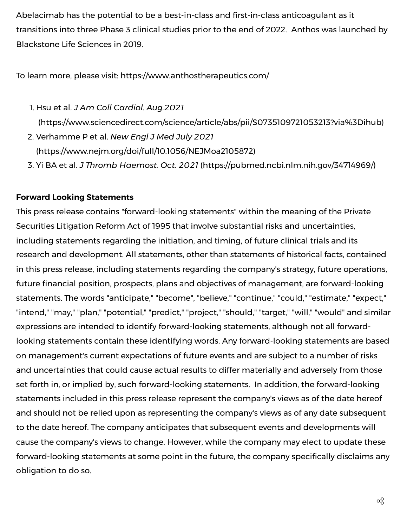Abelacimab has the potential to be a best-in-class and first-in-class anticoagulant as it transitions into three Phase 3 clinical studies prior to the end of 2022. Anthos was launched by Blackstone Life Sciences in 2019.

To learn more, please visit: [https://www.anthostherapeutics.com/](https://c212.net/c/link/?t=0&l=en&o=3403840-1&h=2796032844&u=https%3A%2F%2Fwww.anthostherapeutics.com%2F&a=https%3A%2F%2Fwww.anthostherapeutics.com%2F)

- 1. Hsu et al. *J Am Coll Cardiol. Aug.2021*  [\(https://www.sciencedirect.com/science/article/abs/pii/S0735109721053213?via%3Dihub\)](https://c212.net/c/link/?t=0&l=en&o=3403840-1&h=2140221198&u=https%3A%2F%2Fc212.net%2Fc%2Flink%2F%3Ft%3D0%26l%3Den%26o%3D3381451-1%26h%3D1713772318%26u%3Dhttps%253A%252F%252Fwww.sciencedirect.com%252Fscience%252Farticle%252Fabs%252Fpii%252FS0735109721053213%253Fvia%25253Dihub%26a%3Dhttps%253A%252F%252Fwww.sciencedirect.com%252Fscience%252Farticle%252Fabs%252Fpii%252FS0735109721053213%253Fvia%25253Dihub&a=https%3A%2F%2Fwww.sciencedirect.com%2Fscience%2Farticle%2Fabs%2Fpii%2FS0735109721053213%3Fvia%253Dihub)
- 2. Verhamme P et al. *New Engl J Med July 2021*  ([https://www.nejm.org/doi/full/10.1056/NEJMoa2105872](https://c212.net/c/link/?t=0&l=en&o=3403840-1&h=3045880425&u=https%3A%2F%2Fc212.net%2Fc%2Flink%2F%3Ft%3D0%26l%3Den%26o%3D3381451-1%26h%3D3193778156%26u%3Dhttps%253A%252F%252Fwww.nejm.org%252Fdoi%252Ffull%252F10.1056%252FNEJMoa2105872%26a%3Dhttps%253A%252F%252Fwww.nejm.org%252Fdoi%252Ffull%252F10.1056%252FNEJMoa2105872&a=https%3A%2F%2Fwww.nejm.org%2Fdoi%2Ffull%2F10.1056%2FNEJMoa2105872))
- 3. Yi BA et al. *J Thromb Haemost. Oct. 2021* ([https://pubmed.ncbi.nlm.nih.gov/34714969/](https://c212.net/c/link/?t=0&l=en&o=3403840-1&h=4240676385&u=https%3A%2F%2Fc212.net%2Fc%2Flink%2F%3Ft%3D0%26l%3Den%26o%3D3381451-1%26h%3D3810990299%26u%3Dhttps%253A%252F%252Fpubmed.ncbi.nlm.nih.gov%252F34714969%252F%26a%3Dhttps%253A%252F%252Fpubmed.ncbi.nlm.nih.gov%252F34714969%252F&a=https%3A%2F%2Fpubmed.ncbi.nlm.nih.gov%2F34714969%2F))

## **Forward Looking Statements**

This press release contains "forward-looking statements" within the meaning of the Private Securities Litigation Reform Act of 1995 that involve substantial risks and uncertainties, including statements regarding the initiation, and timing, of future clinical trials and its research and development. All statements, other than statements of historical facts, contained in this press release, including statements regarding the company's strategy, future operations, future financial position, prospects, plans and objectives of management, are forward-looking statements. The words "anticipate," "become", "believe," "continue," "could," "estimate," "expect," "intend," "may," "plan," "potential," "predict," "project," "should," "target," "will," "would" and similar expressions are intended to identify forward-looking statements, although not all forwardlooking statements contain these identifying words. Any forward-looking statements are based on management's current expectations of future events and are subject to a number of risks and uncertainties that could cause actual results to differ materially and adversely from those set forth in, or implied by, such forward-looking statements. In addition, the forward-looking statements included in this press release represent the company's views as of the date hereof and should not be relied upon as representing the company's views as of any date subsequent to the date hereof. The company anticipates that subsequent events and developments will cause the company's views to change. However, while the company may elect to update these forward-looking statements at some point in the future, the company specifically disclaims any obligation to do so.